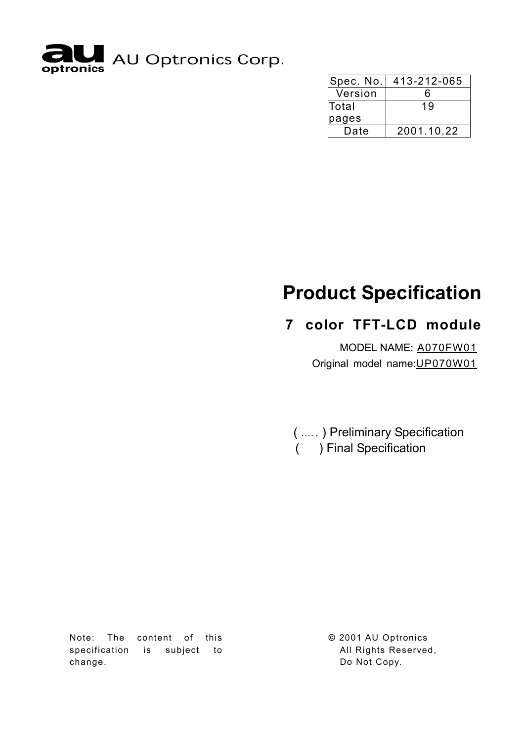

| Spec. No.    | 413-212-065 |
|--------------|-------------|
| Version      | 6           |
| <b>Total</b> | 19          |
| pages        |             |
| Date         | 2001.10.22  |

# **Product Specification**

# **7color TFT-LCD module**

MODEL NAME: A070FW01 Original model name: UP070W01

( ….. ) Preliminary Specification ( ) Final Specification

Note: The content of this specification is subject to change.

**©** 2001 AU Optronics All Rights Reserved, Do Not Copy.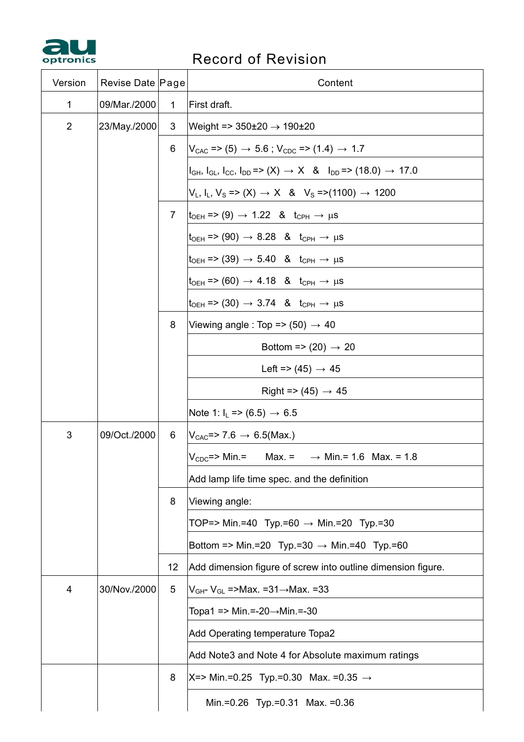

# **PRECORD RECORD OF REVISION**

| Version        | Revise Date Page |                | Content                                                                                                     |  |  |
|----------------|------------------|----------------|-------------------------------------------------------------------------------------------------------------|--|--|
| 1              | 09/Mar./2000     | 1              | First draft.                                                                                                |  |  |
| $\overline{2}$ | 23/May./2000     | 3              | Weight => $350\pm20 \rightarrow 190\pm20$                                                                   |  |  |
|                |                  | 6              | $V_{CAC}$ => (5) $\rightarrow$ 5.6 ; $V_{CDC}$ => (1.4) $\rightarrow$ 1.7                                   |  |  |
|                |                  |                | $I_{GH}$ , $I_{GL}$ , $I_{CC}$ , $I_{DD}$ => $(X) \rightarrow X$ & $I_{DD}$ => $(18.0) \rightarrow 17.0$    |  |  |
|                |                  |                | $V_L$ , I <sub>L</sub> , V <sub>S</sub> => (X) $\rightarrow$ X & V <sub>S</sub> =>(1100) $\rightarrow$ 1200 |  |  |
|                |                  | $\overline{7}$ | $ t_{\text{OEH}}  \Rightarrow (9) \rightarrow 1.22$ & $t_{\text{CPH}} \rightarrow \mu s$                    |  |  |
|                |                  |                | $t_{\text{OEH}}$ => (90) $\rightarrow$ 8.28 & $t_{\text{CPH}} \rightarrow \mu s$                            |  |  |
|                |                  |                | $t_{\text{OEH}}$ => (39) $\rightarrow$ 5.40 & $t_{\text{CPH}} \rightarrow \mu s$                            |  |  |
|                |                  |                | $t_{\text{OEH}}$ => (60) $\rightarrow$ 4.18 & $t_{\text{CPH}} \rightarrow \mu s$                            |  |  |
|                |                  |                | $t_{\text{OEH}}$ => (30) $\rightarrow$ 3.74 & $t_{\text{CPH}} \rightarrow \mu s$                            |  |  |
|                |                  | 8              | Viewing angle : Top => $(50) \rightarrow 40$                                                                |  |  |
|                |                  |                | Bottom => $(20) \rightarrow 20$                                                                             |  |  |
|                |                  |                | Left => $(45) \rightarrow 45$                                                                               |  |  |
|                |                  |                | Right => $(45) \rightarrow 45$                                                                              |  |  |
|                |                  |                | Note 1: $I_L$ => (6.5) $\rightarrow$ 6.5                                                                    |  |  |
| 3              | 09/Oct./2000     | 6              | $V_{CAC}$ => 7.6 $\rightarrow$ 6.5(Max.)                                                                    |  |  |
|                |                  |                | $V_{\text{CDC}} \approx$ Min.= Max. = $\rightarrow$ Min.= 1.6 Max. = 1.8                                    |  |  |
|                |                  |                | Add lamp life time spec. and the definition                                                                 |  |  |
|                |                  | 8              | Viewing angle:                                                                                              |  |  |
|                |                  |                | TOP=> Min.=40 Typ.=60 $\rightarrow$ Min.=20 Typ.=30                                                         |  |  |
|                |                  |                | Bottom => Min.=20 Typ.=30 $\rightarrow$ Min.=40 Typ.=60                                                     |  |  |
|                |                  | 12             | Add dimension figure of screw into outline dimension figure.                                                |  |  |
| 4              | 30/Nov./2000     | 5              | V <sub>GH</sub> - V <sub>GL</sub> =>Max. =31→Max. =33                                                       |  |  |
|                |                  |                | Topa1 => Min.=-20→Min.=-30                                                                                  |  |  |
|                |                  |                | Add Operating temperature Topa2                                                                             |  |  |
|                |                  |                | Add Note3 and Note 4 for Absolute maximum ratings                                                           |  |  |
|                |                  | 8              | $X = >$ Min.=0.25 Typ.=0.30 Max. =0.35 $\rightarrow$                                                        |  |  |
|                |                  |                | Min.=0.26 Typ.=0.31 Max. =0.36                                                                              |  |  |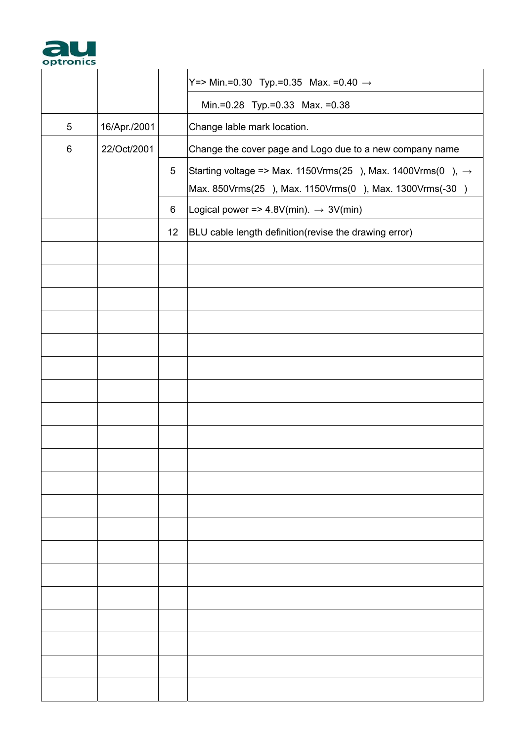

| optronics |              |    |                                                                                                                                  |
|-----------|--------------|----|----------------------------------------------------------------------------------------------------------------------------------|
|           |              |    | Y=> Min.=0.30 Typ.=0.35 Max. =0.40 $\rightarrow$                                                                                 |
|           |              |    | Min.=0.28 Typ.=0.33 Max. =0.38                                                                                                   |
| 5         | 16/Apr./2001 |    | Change lable mark location.                                                                                                      |
| 6         | 22/Oct/2001  |    | Change the cover page and Logo due to a new company name                                                                         |
|           |              | 5  | Starting voltage => Max. 1150Vrms(25), Max. 1400Vrms(0), $\rightarrow$<br>Max. 850Vrms(25), Max. 1150Vrms(0), Max. 1300Vrms(-30) |
|           |              | 6  | Logical power => $4.8V$ (min). $\rightarrow 3V$ (min)                                                                            |
|           |              | 12 | BLU cable length definition(revise the drawing error)                                                                            |
|           |              |    |                                                                                                                                  |
|           |              |    |                                                                                                                                  |
|           |              |    |                                                                                                                                  |
|           |              |    |                                                                                                                                  |
|           |              |    |                                                                                                                                  |
|           |              |    |                                                                                                                                  |
|           |              |    |                                                                                                                                  |
|           |              |    |                                                                                                                                  |
|           |              |    |                                                                                                                                  |
|           |              |    |                                                                                                                                  |
|           |              |    |                                                                                                                                  |
|           |              |    |                                                                                                                                  |
|           |              |    |                                                                                                                                  |
|           |              |    |                                                                                                                                  |
|           |              |    |                                                                                                                                  |
|           |              |    |                                                                                                                                  |
|           |              |    |                                                                                                                                  |
|           |              |    |                                                                                                                                  |
|           |              |    |                                                                                                                                  |
|           |              |    |                                                                                                                                  |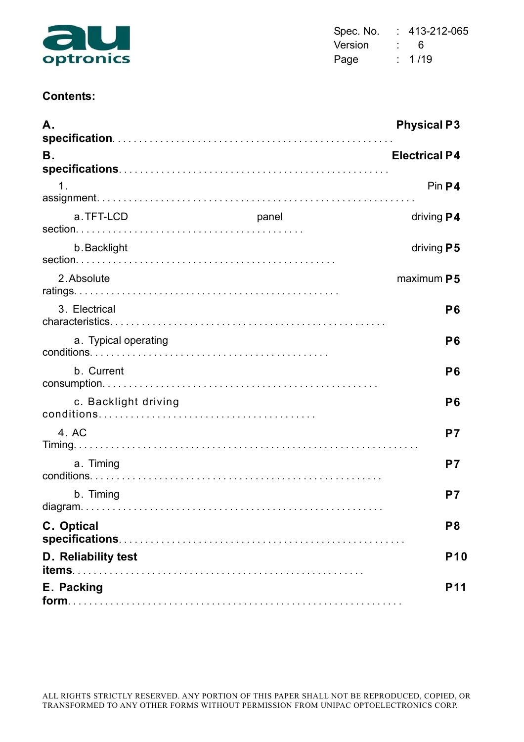

| Spec. No. | 413-212-065 |
|-----------|-------------|
| Version   | ĥ           |
| Page      | : 1/19      |

### **Contents:**

| Α.                   |       | <b>Physical P3</b>   |
|----------------------|-------|----------------------|
| Β.                   |       | <b>Electrical P4</b> |
| $\mathbf 1$          |       | Pin P4               |
| a.TFT-LCD            | panel | driving <b>P4</b>    |
| b. Backlight         |       | driving P5           |
| 2. Absolute          |       | maximum P5           |
| 3. Electrical        |       | P <sub>6</sub>       |
| a. Typical operating |       | P <sub>6</sub>       |
| b. Current           |       | P <sub>6</sub>       |
| c. Backlight driving |       | P <sub>6</sub>       |
| 4. AC                |       | P7                   |
| a. Timing            |       | P7                   |
| b. Timing            |       | P7                   |
| C. Optical           |       | P <sub>8</sub>       |
| D. Reliability test  |       | <b>P10</b>           |
| E. Packing           |       | <b>P11</b>           |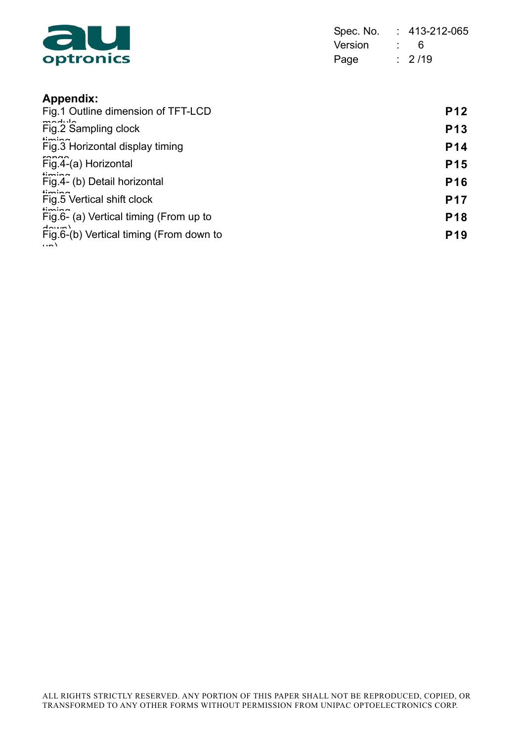

| Spec. No. |                  | 413-212-065 |
|-----------|------------------|-------------|
| Version   | <b>Participa</b> | 6           |
| Page      |                  | $\div$ 2/19 |

# **Appendix:**

| Fig.1 Outline dimension of TFT-LCD                               | <b>P12</b>      |
|------------------------------------------------------------------|-----------------|
| مانتاممته<br>Fig.2 Sampling clock                                | <b>P13</b>      |
| $f_{\text{in}}$<br>Fig.3 Horizontal display timing               | P <sub>14</sub> |
| Fig.4-(a) Horizontal                                             | <b>P15</b>      |
| limin a<br>Fig.4- (b) Detail horizontal                          | <b>P16</b>      |
| $+ \infty$<br>Fig.5 Vertical shift clock                         | <b>P17</b>      |
| $lim_{n \to \infty}$<br>Fig.6- (a) Vertical timing (From up to   | <b>P18</b>      |
| $A_{min}$<br>Fig.6-(b) Vertical timing (From down to<br>$\cdots$ | P <sub>19</sub> |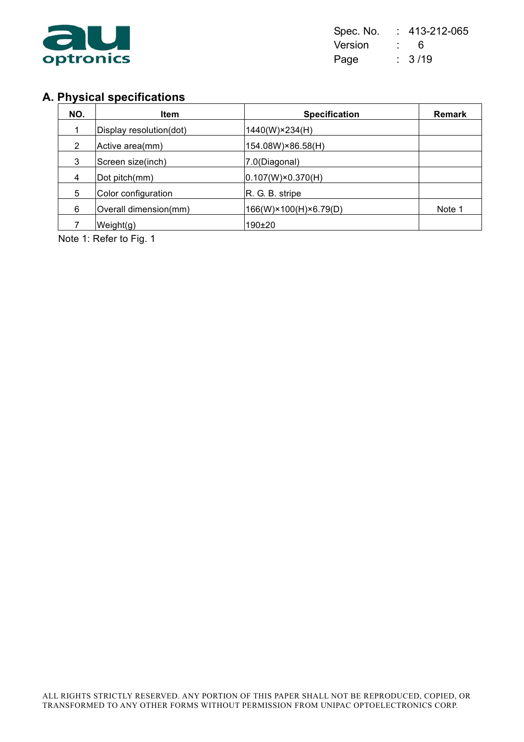

| Spec. No. |                | 413-212-065 |
|-----------|----------------|-------------|
| Version   | $\mathbb{R}^n$ | 6           |
| Page      |                | : 3/19      |

# **A. Physical specifications**

| NO. | <b>Item</b>             | <b>Specification</b>       | Remark |
|-----|-------------------------|----------------------------|--------|
|     | Display resolution(dot) | 1440(W)×234(H)             |        |
| 2   | Active area(mm)         | 154.08W)×86.58(H)          |        |
| 3   | Screen size(inch)       | 7.0(Diagonal)              |        |
| 4   | Dot pitch(mm)           | $ 0.107(W)\times0.370(H) $ |        |
| 5   | Color configuration     | R. G. B. stripe            |        |
| 6   | Overall dimension(mm)   | 166(W)×100(H)×6.79(D)      | Note 1 |
|     | Weight(g)               | 190±20                     |        |

Note 1: Refer to Fig. 1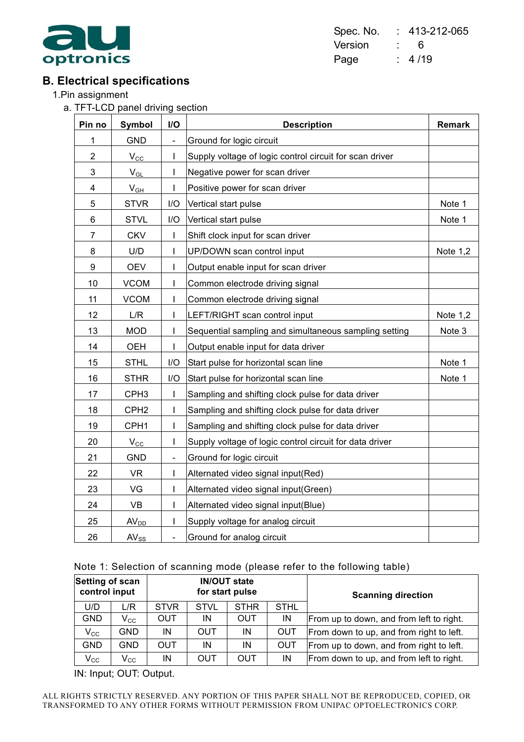

Spec. No. : 413-212-065 Version : 6 Page : 4/19

## **B. Electrical specifications**

1.Pin assignment

a. TFT-LCD panel driving section

| Pin no         | <b>Symbol</b>        | I/O                          | <b>Description</b>                                      | <b>Remark</b> |
|----------------|----------------------|------------------------------|---------------------------------------------------------|---------------|
| 1              | <b>GND</b>           | $\qquad \qquad \blacksquare$ | Ground for logic circuit                                |               |
| $\overline{2}$ | $V_{\underline{CC}}$ | I                            | Supply voltage of logic control circuit for scan driver |               |
| 3              | $V_{GL}$             | I                            | Negative power for scan driver                          |               |
| 4              | V <sub>GH</sub>      | I                            | Positive power for scan driver                          |               |
| 5              | <b>STVR</b>          | I/O                          | Vertical start pulse                                    | Note 1        |
| 6              | <b>STVL</b>          | I/O                          | Vertical start pulse                                    | Note 1        |
| $\overline{7}$ | <b>CKV</b>           | I                            | Shift clock input for scan driver                       |               |
| 8              | U/D                  | $\mathsf{I}$                 | UP/DOWN scan control input                              | Note $1,2$    |
| 9              | <b>OEV</b>           | I                            | Output enable input for scan driver                     |               |
| 10             | <b>VCOM</b>          | I                            | Common electrode driving signal                         |               |
| 11             | <b>VCOM</b>          | I                            | Common electrode driving signal                         |               |
| 12             | L/R                  | $\mathsf{I}$                 | LEFT/RIGHT scan control input                           | Note 1,2      |
| 13             | <b>MOD</b>           | I                            | Sequential sampling and simultaneous sampling setting   | Note 3        |
| 14             | OEH                  | I                            | Output enable input for data driver                     |               |
| 15             | <b>STHL</b>          | I/O                          | Start pulse for horizontal scan line                    | Note 1        |
| 16             | <b>STHR</b>          | I/O                          | Start pulse for horizontal scan line                    | Note 1        |
| 17             | CPH <sub>3</sub>     | I                            | Sampling and shifting clock pulse for data driver       |               |
| 18             | CPH <sub>2</sub>     | I                            | Sampling and shifting clock pulse for data driver       |               |
| 19             | CPH1                 | I                            | Sampling and shifting clock pulse for data driver       |               |
| 20             | $V_{\rm CC}$         | I                            | Supply voltage of logic control circuit for data driver |               |
| 21             | <b>GND</b>           | $\overline{\phantom{0}}$     | Ground for logic circuit                                |               |
| 22             | <b>VR</b>            | I                            | Alternated video signal input(Red)                      |               |
| 23             | VG                   | I                            | Alternated video signal input(Green)                    |               |
| 24             | <b>VB</b>            | I                            | Alternated video signal input(Blue)                     |               |
| 25             | AV <sub>DD</sub>     | $\mathsf{I}$                 | Supply voltage for analog circuit                       |               |
| 26             | $AV_{SS}$            | $\overline{\phantom{0}}$     | Ground for analog circuit                               |               |

#### Note 1: Selection of scanning mode (please refer to the following table)

| <b>Setting of scan</b><br>control input |                            | <b>IN/OUT state</b><br>for start pulse |             |             |             | <b>Scanning direction</b>                |
|-----------------------------------------|----------------------------|----------------------------------------|-------------|-------------|-------------|------------------------------------------|
| U/D                                     | L/R                        | <b>STVR</b>                            | <b>STVL</b> | <b>STHR</b> | <b>STHL</b> |                                          |
| <b>GND</b>                              | $\mathsf{V}_{\mathsf{CC}}$ | <b>OUT</b>                             | IN          | OUT         | IN          | From up to down, and from left to right. |
| $V_{\rm CC}$                            | GND                        | IN                                     | OUT         | IN          | <b>OUT</b>  | From down to up, and from right to left. |
| <b>GND</b>                              | GND                        | <b>OUT</b>                             | IN          | ΙN          | OUT         | From up to down, and from right to left. |
| $V_{\rm CC}$                            | $\mathsf{V}_{\mathsf{CC}}$ | ΙN                                     | OUT         | OUT         | IN          | From down to up, and from left to right. |

IN: Input; OUT: Output.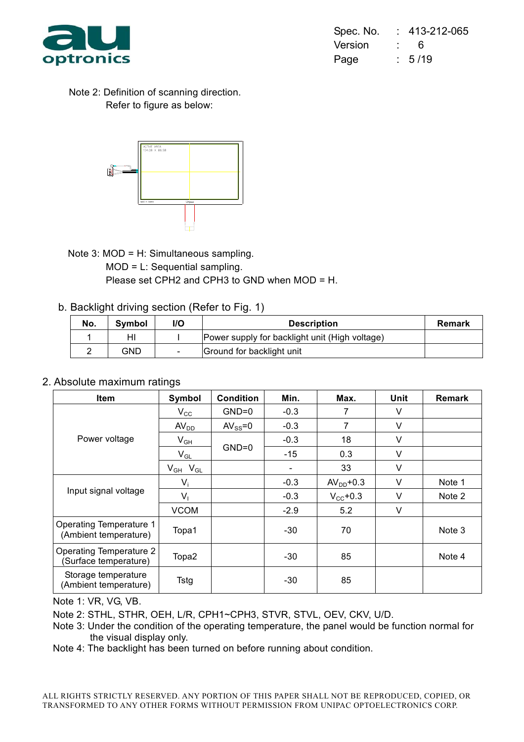

| Spec. No. |                 | 413-212-065 |
|-----------|-----------------|-------------|
| Version   | <b>Property</b> | 6           |
| Page      |                 | : 5/19      |

Note 2: Definition of scanning direction. Refer to figure as below:



Note 3: MOD = H: Simultaneous sampling. MOD = L: Sequential sampling. Please set CPH2 and CPH3 to GND when MOD = H.

b. Backlight driving section (Refer to Fig. 1)

| No. | Symbol | l/O | <b>Description</b>                             | <b>Remark</b> |
|-----|--------|-----|------------------------------------------------|---------------|
|     | HI     |     | Power supply for backlight unit (High voltage) |               |
|     | GND    |     | Ground for backlight unit                      |               |

#### 2. Absolute maximum ratings

| <b>Item</b>                                             | Symbol            | <b>Condition</b> | Min.   | Max.                 | Unit   | <b>Remark</b> |
|---------------------------------------------------------|-------------------|------------------|--------|----------------------|--------|---------------|
|                                                         | $V_{\rm CC}$      | $GND=0$          | $-0.3$ | 7                    | $\vee$ |               |
|                                                         | AV <sub>DD</sub>  | $AV_{SS} = 0$    | $-0.3$ | 7                    | V      |               |
| Power voltage                                           | $V_{GH}$          |                  | $-0.3$ | 18                   | $\vee$ |               |
|                                                         | $V_{GL}$          | $GND=0$          | $-15$  | 0.3                  | V      |               |
|                                                         | $V_{GH}$ $V_{GL}$ |                  |        | 33                   | V      |               |
|                                                         | $V_i$             |                  | $-0.3$ | $AVDD+0.3$           | $\vee$ | Note 1        |
| Input signal voltage                                    | $V_1$             |                  | $-0.3$ | $V_{\text{CC}}$ +0.3 | V      | Note 2        |
|                                                         | <b>VCOM</b>       |                  | $-2.9$ | 5.2                  | V      |               |
| <b>Operating Temperature 1</b><br>(Ambient temperature) | Topa1             |                  | -30    | 70                   |        | Note 3        |
| <b>Operating Temperature 2</b><br>(Surface temperature) | Topa2             |                  | -30    | 85                   |        | Note 4        |
| Storage temperature<br>(Ambient temperature)            | Tstg              |                  | -30    | 85                   |        |               |

Note 1: VR, VG, VB.

Note 2: STHL, STHR, OEH, L/R, CPH1~CPH3, STVR, STVL, OEV, CKV, U/D.

- Note 3: Under the condition of the operating temperature, the panel would be function normal for the visual display only.
- Note 4: The backlight has been turned on before running about condition.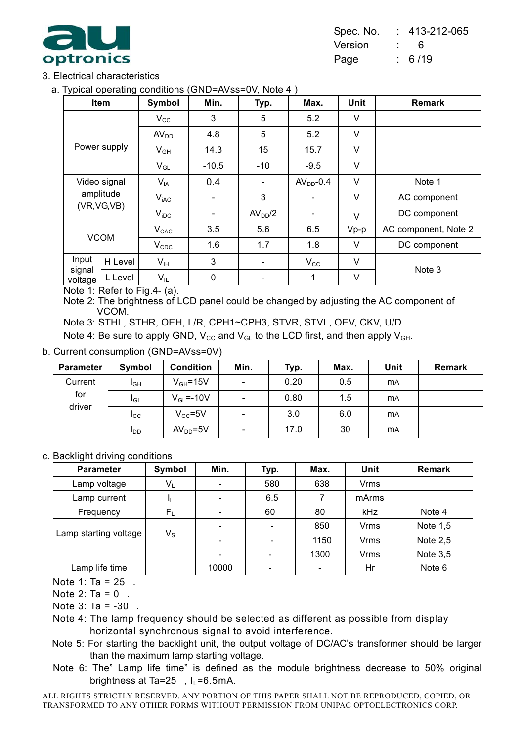

#### 3. Electrical characteristics

a. Typical operating conditions (GND=AVss=0V, Note 4 )

| . .               | Item         | Symbol           | Min.                     | Typ.                     | Max.         | <b>Unit</b> | <b>Remark</b>        |
|-------------------|--------------|------------------|--------------------------|--------------------------|--------------|-------------|----------------------|
|                   |              | $V_{\rm CC}$     | 3                        | 5                        | 5.2          | V           |                      |
|                   |              | AV <sub>DD</sub> | 4.8                      | 5                        | 5.2          | V           |                      |
| Power supply      |              | $V_{GH}$         | 14.3                     | 15                       | 15.7         | V           |                      |
|                   |              | $V_{GL}$         | $-10.5$                  | $-10$                    | $-9.5$       | $\vee$      |                      |
| Video signal      |              | $V_{iA}$         | 0.4                      |                          | $AVDD-0.4$   | V           | Note 1               |
|                   | amplitude    | $V_{iAC}$        | $\overline{\phantom{a}}$ | 3                        |              | V           | AC component         |
|                   | (VR, VG, VB) | $V_{\text{IDC}}$ |                          | AV <sub>DD</sub> /2      |              | V           | DC component         |
|                   |              | $V_{CAC}$        | 3.5                      | 5.6                      | 6.5          | $Vp-p$      | AC component, Note 2 |
| <b>VCOM</b>       |              | $V_{CDC}$        | 1.6                      | 1.7                      | 1.8          | V           | DC component         |
| Input             | H Level      | $V_{IH}$         | 3                        | $\overline{\phantom{a}}$ | $V_{\rm CC}$ | V           |                      |
| signal<br>voltage | L Level      | $V_{IL}$         | 0                        |                          | 1            | V           | Note 3               |

Note 1: Refer to Fig.4- (a).

Note 2: The brightness of LCD panel could be changed by adjusting the AC component of VCOM.

Note 3: STHL, STHR, OEH, L/R, CPH1~CPH3, STVR, STVL, OEV, CKV, U/D.

Note 4: Be sure to apply GND,  $V_{CC}$  and  $V_{GL}$  to the LCD first, and then apply  $V_{GH}$ .

#### b. Current consumption (GND=AVss=0V)

| <b>Parameter</b> | Symbol          | <b>Condition</b> | Min.                         | Typ. | Max. | Unit      | <b>Remark</b> |
|------------------|-----------------|------------------|------------------------------|------|------|-----------|---------------|
| Current          | I <sub>GH</sub> | $V_{GH} = 15V$   | $\blacksquare$               | 0.20 | 0.5  | <b>MA</b> |               |
| for              | $I_{GL}$        | $V_{GL} = -10V$  | $\qquad \qquad \blacksquare$ | 0.80 | 1.5  | <b>MA</b> |               |
| driver           | $_{\rm{ICC}}$   | $V_{CC} = 5V$    | $\overline{\phantom{a}}$     | 3.0  | 6.0  | <b>MA</b> |               |
|                  | $I_{DD}$        | $AVDD=5V$        | $\overline{\phantom{a}}$     | 17.0 | 30   | <b>MA</b> |               |

#### c. Backlight driving conditions

| <b>Parameter</b>      | Symbol      | Min.  | Typ. | Max. | Unit        | Remark     |
|-----------------------|-------------|-------|------|------|-------------|------------|
| Lamp voltage          | $V_L$       |       | 580  | 638  | <b>Vrms</b> |            |
| Lamp current          |             |       | 6.5  |      | mArms       |            |
| Frequency             | $F_{\rm L}$ |       | 60   | 80   | kHz         | Note 4     |
|                       |             |       |      | 850  | <b>Vrms</b> | Note 1,5   |
| Lamp starting voltage | $V_{\rm S}$ |       |      | 1150 | <b>Vrms</b> | Note $2,5$ |
|                       |             |       |      | 1300 | <b>Vrms</b> | Note $3,5$ |
| Lamp life time        |             | 10000 |      |      | Hr          | Note 6     |

Note 1: Ta =  $25$ .

Note 2: Ta =  $0$ .

Note  $3:$  Ta =  $-30$ .

- Note 4: The lamp frequency should be selected as different as possible from display horizontal synchronous signal to avoid interference.
- Note 5: For starting the backlight unit, the output voltage of DC/AC's transformer should be larger than the maximum lamp starting voltage.
- Note 6: The" Lamp life time" is defined as the module brightness decrease to 50% original brightness at Ta=25,  $I_1$ =6.5mA.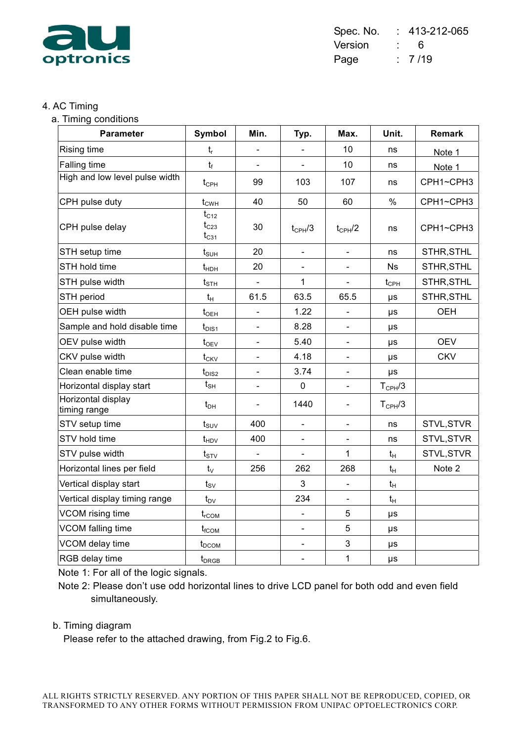

#### 4. AC Timing

a. Timing conditions

| <b>Parameter</b>                   | Symbol                              | Min.           | Typ.                     | Max.                         | Unit.              | <b>Remark</b> |
|------------------------------------|-------------------------------------|----------------|--------------------------|------------------------------|--------------------|---------------|
| <b>Rising time</b>                 | $t_{r}$                             |                |                          | 10                           | ns                 | Note 1        |
| Falling time                       | $t_f$                               |                |                          | 10                           | ns                 | Note 1        |
| High and low level pulse width     | $t_{\text{CPH}}$                    | 99             | 103                      | 107                          | ns                 | CPH1~CPH3     |
| CPH pulse duty                     | $t_{CWH}$                           | 40             | 50                       | 60                           | $\%$               | CPH1~CPH3     |
| CPH pulse delay                    | $t_{C12}$<br>$t_{C23}$<br>$t_{C31}$ | 30             | $t_{\text{CPH}}/3$       | $t_{CPH}/2$                  | ns                 | CPH1~CPH3     |
| STH setup time                     | $t_{\scriptscriptstyle\text{SUH}}$  | 20             | $\blacksquare$           | $\blacksquare$               | ns                 | STHR, STHL    |
| STH hold time                      | $t_{HDH}$                           | 20             |                          |                              | <b>Ns</b>          | STHR, STHL    |
| STH pulse width                    | $t_{\scriptscriptstyle\text{STH}}$  | $\blacksquare$ | 1                        | $\blacksquare$               | $t_{\text{CPH}}$   | STHR, STHL    |
| STH period                         | $t_{H}$                             | 61.5           | 63.5                     | 65.5                         | μs                 | STHR, STHL    |
| OEH pulse width                    | $t_{\text{OEH}}$                    | $\blacksquare$ | 1.22                     | $\qquad \qquad \blacksquare$ | μs                 | <b>OEH</b>    |
| Sample and hold disable time       | $t_{\text{DIS1}}$                   |                | 8.28                     | $\blacksquare$               | μs                 |               |
| OEV pulse width                    | $t_{OEV}$                           | $\blacksquare$ | 5.40                     | $\blacksquare$               | $\mu s$            | <b>OEV</b>    |
| CKV pulse width                    | $t_{CKV}$                           |                | 4.18                     | $\blacksquare$               | μs                 | <b>CKV</b>    |
| Clean enable time                  | $t_{DIS2}$                          |                | 3.74                     |                              | μs                 |               |
| Horizontal display start           | $t_{\text{SH}}$                     | $\blacksquare$ | $\mathbf 0$              | $\blacksquare$               | $T_{\text{CPH}}/3$ |               |
| Horizontal display<br>timing range | $t_{DH}$                            |                | 1440                     |                              | $T_{\text{CPH}}/3$ |               |
| STV setup time                     | $t_{\scriptscriptstyle SUV}$        | 400            | $\overline{a}$           | $\blacksquare$               | ns                 | STVL, STVR    |
| STV hold time                      | $t_{HDV}$                           | 400            | $\overline{\phantom{0}}$ | $\qquad \qquad \blacksquare$ | ns                 | STVL, STVR    |
| STV pulse width                    | $t_{STV}$                           | $\Box$         |                          | 1                            | $t_H$              | STVL, STVR    |
| Horizontal lines per field         | $t_{\vee}$                          | 256            | 262                      | 268                          | $t_H$              | Note 2        |
| Vertical display start             | $t_{\text{SV}}$                     |                | 3                        |                              | $t_{\mathsf{H}}$   |               |
| Vertical display timing range      | $t_{\text{DV}}$                     |                | 234                      | $\blacksquare$               | $t_H$              |               |
| VCOM rising time                   | $t_{rCOM}$                          |                |                          | 5                            | μs                 |               |
| VCOM falling time                  | $t_{fCOM}$                          |                | $\blacksquare$           | 5                            | μs                 |               |
| VCOM delay time                    | $t_{DCOM}$                          |                | $\blacksquare$           | 3                            | μs                 |               |
| RGB delay time                     | $t_{DRGB}$                          |                | $\blacksquare$           | $\mathbf{1}$                 | μs                 |               |

Note 1: For all of the logic signals.

Note 2: Please don't use odd horizontal lines to drive LCD panel for both odd and even field simultaneously.

#### b. Timing diagram

Please refer to the attached drawing, from Fig.2 to Fig.6.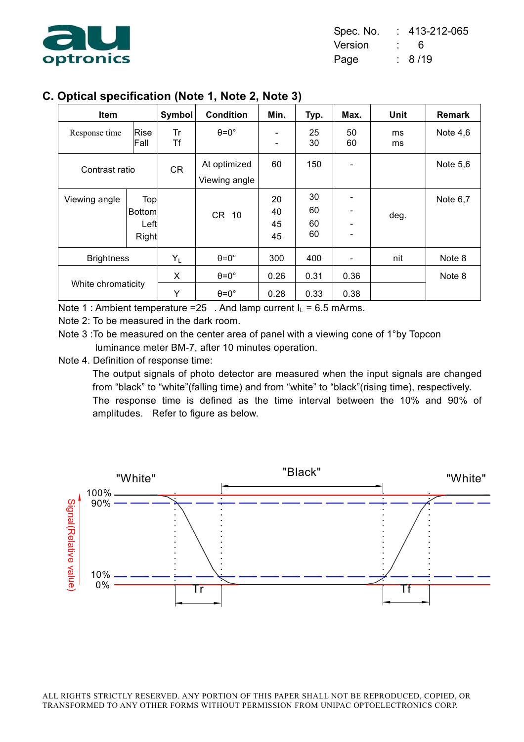

| Spec. No. |                  | 413-212-065 |
|-----------|------------------|-------------|
| Version   | <b>Participa</b> | 6           |
| Page      |                  | : 8/19      |

# **C. Optical specification (Note 1, Note 2, Note 3)**

| Item               |                                       | Symbol   | <b>Condition</b>                             | Min.                                                 | Typ.                 | Max.         | <b>Unit</b> | Remark     |
|--------------------|---------------------------------------|----------|----------------------------------------------|------------------------------------------------------|----------------------|--------------|-------------|------------|
| Response time      | <b>Rise</b><br>Fall                   | Tr<br>Τf | $\theta = 0^{\circ}$                         | $\overline{\phantom{a}}$<br>$\overline{\phantom{a}}$ | 25<br>30             | 50<br>60     | ms<br>ms    | Note $4,6$ |
| Contrast ratio     |                                       | CR       | At optimized<br>Viewing angle                | 60                                                   | 150                  |              |             | Note $5,6$ |
| Viewing angle      | Top<br><b>Bottom</b><br>Left<br>Right |          | CR 10                                        | 20<br>40<br>45<br>45                                 | 30<br>60<br>60<br>60 |              | deg.        | Note 6,7   |
| <b>Brightness</b>  |                                       | $Y_L$    | $\theta = 0^{\circ}$                         | 300                                                  | 400                  |              | nit         | Note 8     |
| White chromaticity |                                       | X<br>Υ   | $\theta = 0^{\circ}$<br>$\theta = 0^{\circ}$ | 0.26<br>0.28                                         | 0.31<br>0.33         | 0.36<br>0.38 |             | Note 8     |

Note 1 : Ambient temperature =25. And lamp current  $I_L$  = 6.5 mArms.

- Note 2: To be measured in the dark room.
- Note 3 :To be measured on the center area of panel with a viewing cone of 1°by Topcon luminance meter BM-7, after 10 minutes operation.
- Note 4. Definition of response time:

The output signals of photo detector are measured when the input signals are changed from "black" to "white"(falling time) and from "white" to "black"(rising time), respectively. The response time is defined as the time interval between the 10% and 90% of amplitudes. Refer to figure as below.

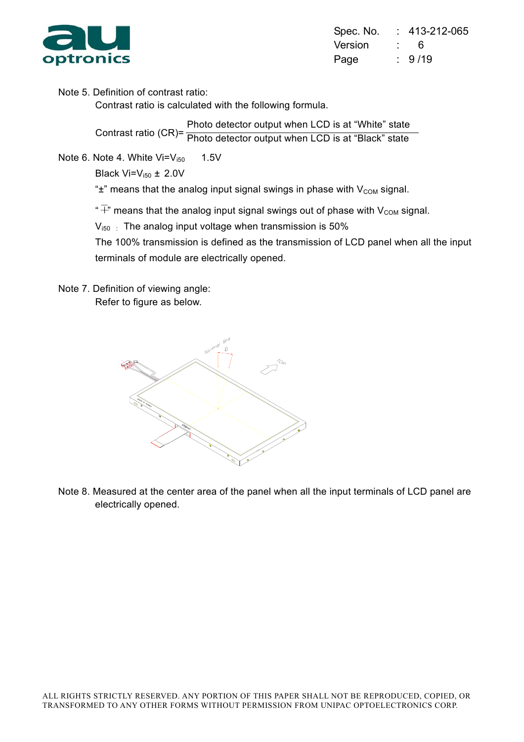

| Spec. No. |                    | 413-212-065 |
|-----------|--------------------|-------------|
| Version   | <b>Participant</b> | 6           |
| Page      |                    | $\div$ 9/19 |

Note 5. Definition of contrast ratio:

Contrast ratio is calculated with the following formula.

Contrast ratio (CR)= Photo detector output when LCD is at "White" state Photo detector output when LCD is at "Black" state

Note 6. Note 4. White  $Vi=V_{150}$  1.5V

Black  $Vi=V_{i50} \pm 2.0V$ 

" $\pm$ " means that the analog input signal swings in phase with  $V_{COM}$  signal.

" $\overline{+}$ " means that the analog input signal swings out of phase with V<sub>COM</sub> signal.

 $V_{150}$ : The analog input voltage when transmission is 50%

The 100% transmission is defined as the transmission of LCD panel when all the input terminals of module are electrically opened.

Note 7. Definition of viewing angle: Refer to figure as below.



Note 8. Measured at the center area of the panel when all the input terminals of LCD panel are electrically opened.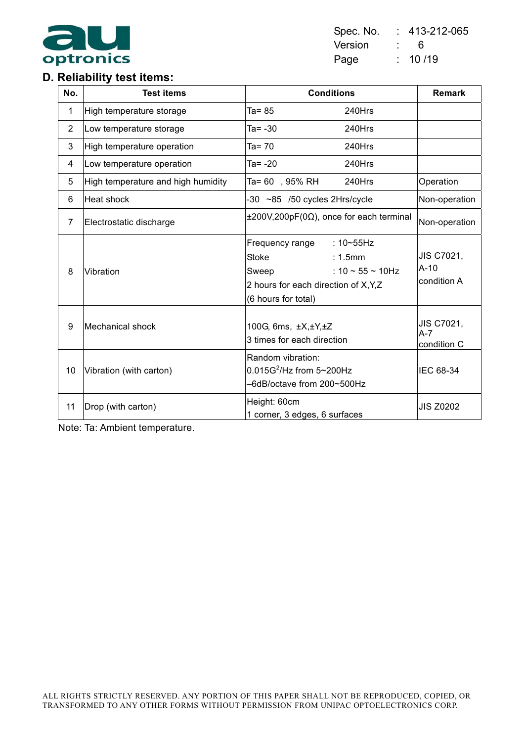

### Spec. No. : 413-212-065 Version : 6 Page : 10/19

# **D. Reliability test items:**

| No.            | <b>Test items</b>                  | <b>Conditions</b>                                                                                                                                                | <b>Remark</b>                            |
|----------------|------------------------------------|------------------------------------------------------------------------------------------------------------------------------------------------------------------|------------------------------------------|
| 1              | High temperature storage           | Ta= 85<br>240Hrs                                                                                                                                                 |                                          |
| $\overline{2}$ | Low temperature storage            | Ta= -30<br>240Hrs                                                                                                                                                |                                          |
| 3              | High temperature operation         | Ta= $70$<br>240Hrs                                                                                                                                               |                                          |
| 4              | Low temperature operation          | Ta= -20<br>240Hrs                                                                                                                                                |                                          |
| 5              | High temperature and high humidity | Ta= 60, 95% RH<br>240Hrs                                                                                                                                         | Operation                                |
| 6              | <b>Heat shock</b>                  | -30 ~85 /50 cycles 2Hrs/cycle                                                                                                                                    | Non-operation                            |
| $\overline{7}$ | Electrostatic discharge            | $\pm 200V, 200pF(0\Omega)$ , once for each terminal                                                                                                              | Non-operation                            |
| 8              | Vibration                          | Frequency range<br>$:10 \sim 55$ Hz<br>Stoke<br>$: 1.5$ mm<br>: $10 \sim 55 \sim 10$ Hz<br>Sweep<br>2 hours for each direction of X, Y, Z<br>(6 hours for total) | <b>JIS C7021,</b><br>A-10<br>condition A |
| 9              | <b>Mechanical shock</b>            | 100G, 6ms, ±X,±Y,±Z<br>3 times for each direction                                                                                                                | JIS C7021,<br>A-7<br>condition C         |
| 10             | Vibration (with carton)            | Random vibration:<br>$0.015G^2$ /Hz from 5~200Hz<br>-6dB/octave from 200~500Hz                                                                                   | IEC 68-34                                |
| 11             | Drop (with carton)                 | Height: 60cm<br>1 corner, 3 edges, 6 surfaces                                                                                                                    | <b>JIS Z0202</b>                         |

Note: Ta: Ambient temperature.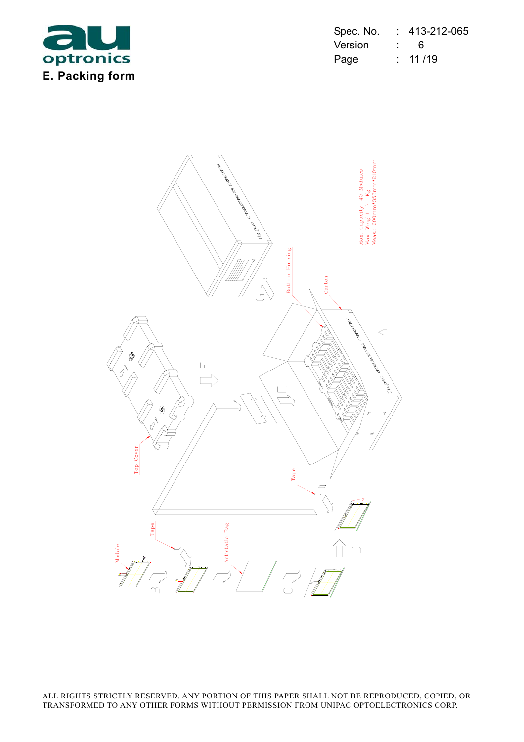

| Spec. No. | 413-212-065 |
|-----------|-------------|
| Version   | 6           |
| Page      | : 11/19     |

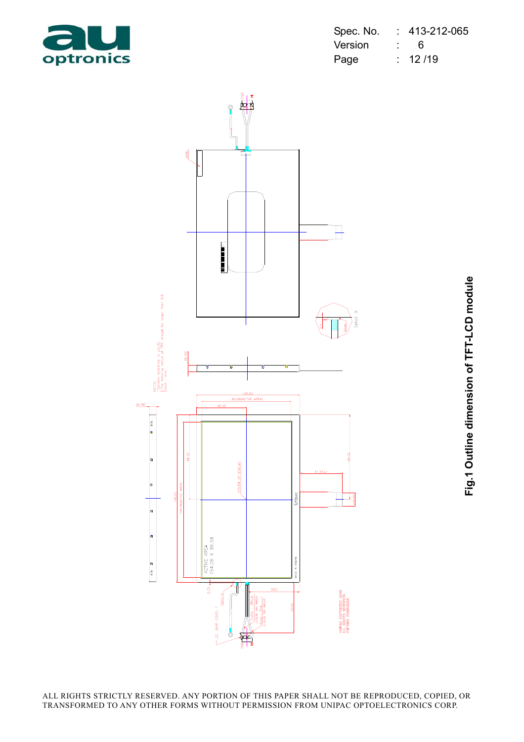

| Spec. No. |                 | 413-212-065 |
|-----------|-----------------|-------------|
| Version   | <b>Property</b> | 6           |
| Page      |                 | 12/19       |



**Fig.1 Outline dimension of TFT-LCD module** Fig.1 Outline dimension of TFT-LCD module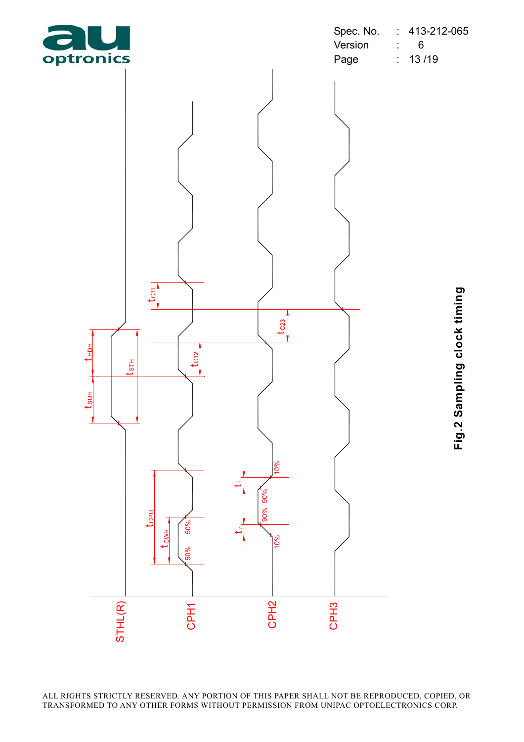

**Fig.2 Sampling clock timing** Fig.2 Sampling clock timing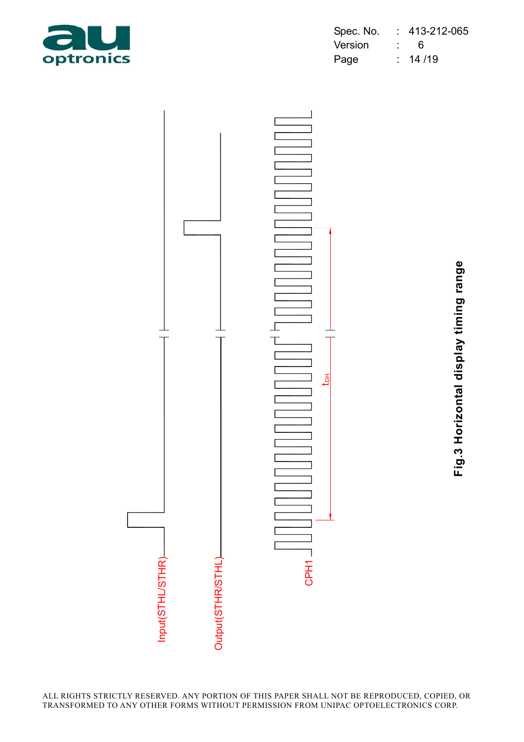

| Spec. No. | 413-212-065 |
|-----------|-------------|
| Version   | 6           |
| Page      | 14 / 19     |



**Fig.3 Horizontal display timing range** Fig.3 Horizontal display timing range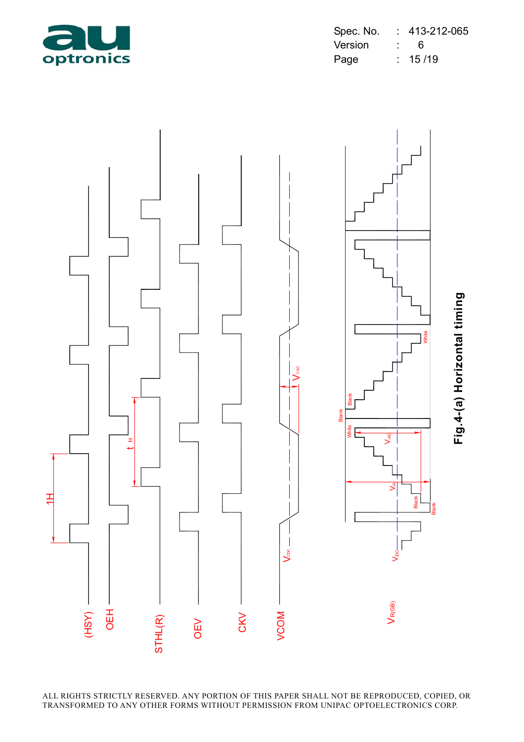

| Spec. No. | 413-212-065 |
|-----------|-------------|
| Version   | 6           |
| Page      | 15/19       |



ALL RIGHTS STRICTLY RESERVED. ANY PORTION OF THIS PAPER SHALL NOT BE REPRODUCED, COPIED, OR TRANSFORMED TO ANY OTHER FORMS WITHOUT PERMISSION FROM UNIPAC OPTOELECTRONICS CORP.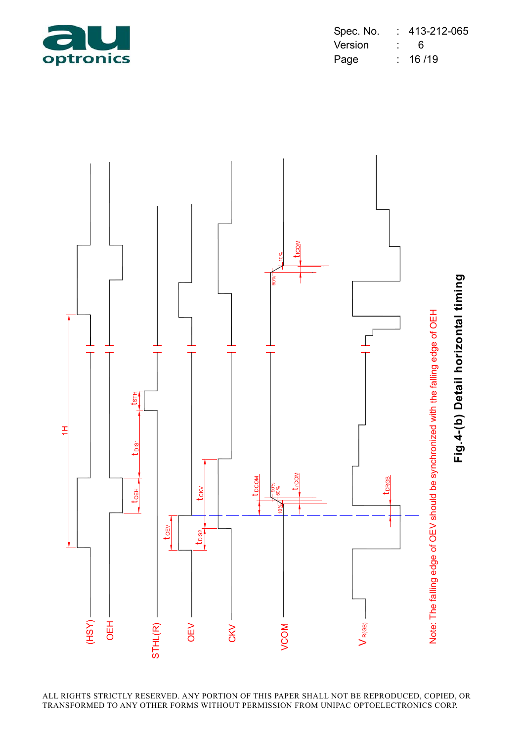

| Spec. No. | 413-212-065 |
|-----------|-------------|
| Version   | 6           |
| Page      | : 16/19     |



ALL RIGHTS STRICTLY RESERVED. ANY PORTION OF THIS PAPER SHALL NOT BE REPRODUCED, COPIED, OR TRANSFORMED TO ANY OTHER FORMS WITHOUT PERMISSION FROM UNIPAC OPTOELECTRONICS CORP.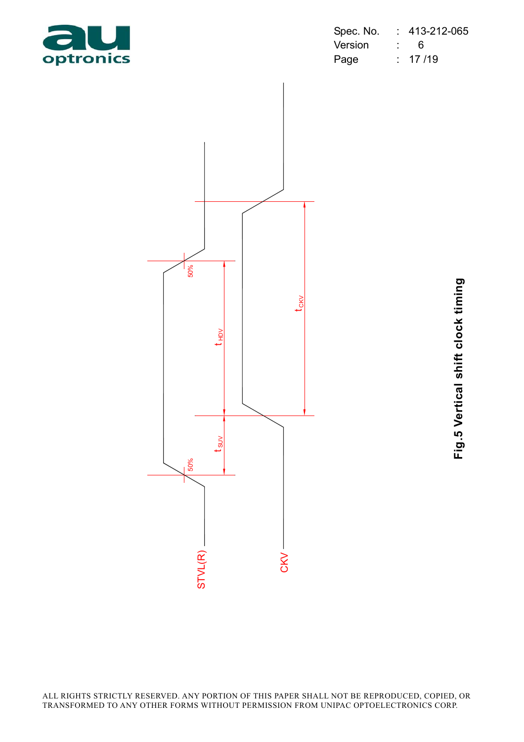

| Spec. No. |                            | 413-212-065  |
|-----------|----------------------------|--------------|
| Version   | $\mathcal{L}^{\text{max}}$ | ĥ            |
| Page      |                            | $\div$ 17/19 |



**Fig.5 Vertical shift clock timing** Fig.5 Vertical shift clock timing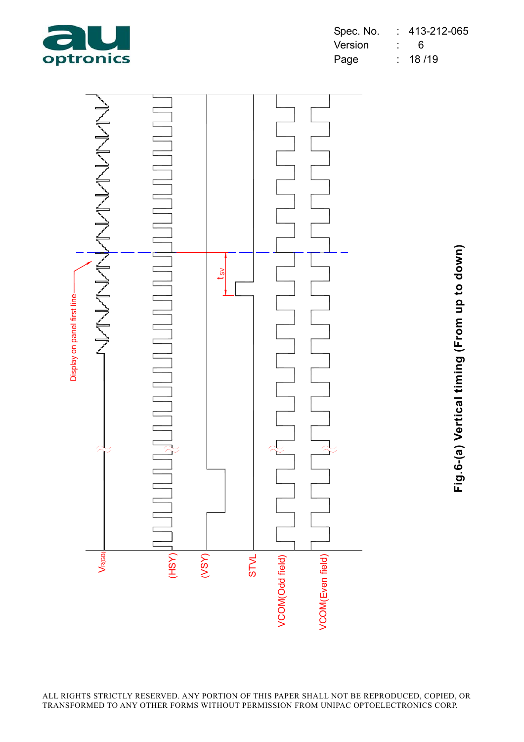

| Spec. No. | 413-212-065 |
|-----------|-------------|
| Version   | 6           |
| Page      | 18/19       |



**Fig.6-(a) Vertical timing (From up to down)** Fig.6-(a) Vertical timing (From up to down)